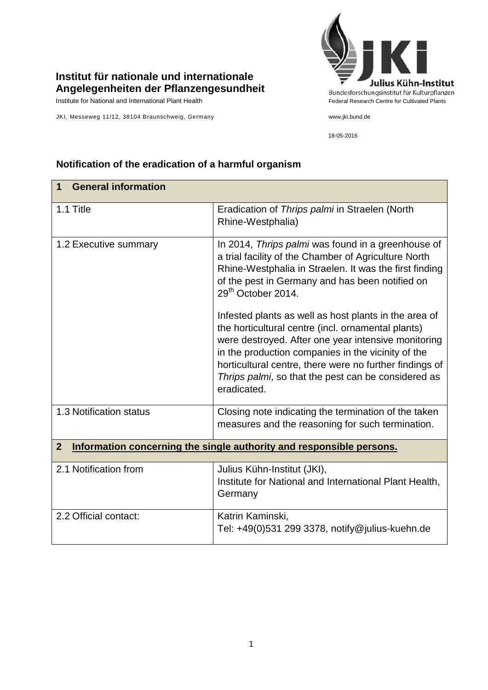## **Institut für nationale und internationale Angelegenheiten der Pflanzengesundheit**

JKI, Messeweg 11/12, 38104 Braunschweig, Germany www.jki.bund.de

## Julius Kühn-Institut Bundesforschungsinstitut für Kulturpflanzen Institute for National and International Plant Health Federal Research Centre for Cultivated Plants

18-05-2016

| <b>General information</b><br>1                                                        |                                                                                                                                                                                                                                                                                                                                                           |  |
|----------------------------------------------------------------------------------------|-----------------------------------------------------------------------------------------------------------------------------------------------------------------------------------------------------------------------------------------------------------------------------------------------------------------------------------------------------------|--|
| 1.1 Title                                                                              | Eradication of Thrips palmi in Straelen (North<br>Rhine-Westphalia)                                                                                                                                                                                                                                                                                       |  |
| 1.2 Executive summary                                                                  | In 2014, Thrips palmi was found in a greenhouse of<br>a trial facility of the Chamber of Agriculture North<br>Rhine-Westphalia in Straelen. It was the first finding<br>of the pest in Germany and has been notified on<br>29 <sup>th</sup> October 2014.                                                                                                 |  |
|                                                                                        | Infested plants as well as host plants in the area of<br>the horticultural centre (incl. ornamental plants)<br>were destroyed. After one year intensive monitoring<br>in the production companies in the vicinity of the<br>horticultural centre, there were no further findings of<br>Thrips palmi, so that the pest can be considered as<br>eradicated. |  |
| 1.3 Notification status                                                                | Closing note indicating the termination of the taken<br>measures and the reasoning for such termination.                                                                                                                                                                                                                                                  |  |
| Information concerning the single authority and responsible persons.<br>$\overline{2}$ |                                                                                                                                                                                                                                                                                                                                                           |  |
| 2.1 Notification from                                                                  | Julius Kühn-Institut (JKI),<br>Institute for National and International Plant Health,<br>Germany                                                                                                                                                                                                                                                          |  |
| 2.2 Official contact:                                                                  | Katrin Kaminski,<br>Tel: +49(0)531 299 3378, notify@julius-kuehn.de                                                                                                                                                                                                                                                                                       |  |

## **Notification of the eradication of a harmful organism**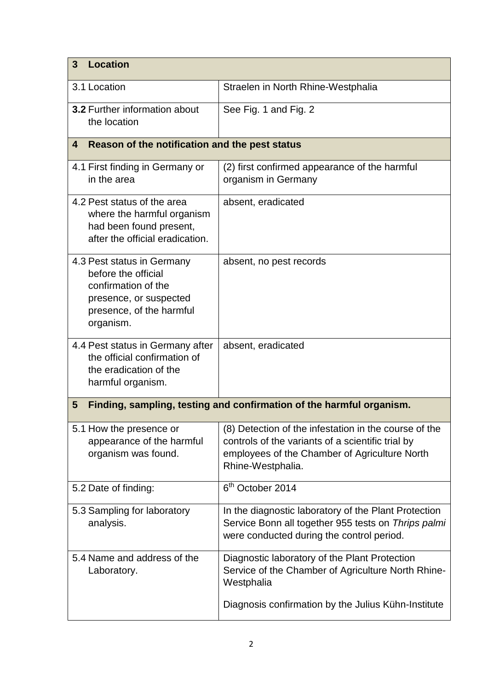| <b>Location</b><br>3                                                                                                                        |                                                                                                                                                                                  |  |
|---------------------------------------------------------------------------------------------------------------------------------------------|----------------------------------------------------------------------------------------------------------------------------------------------------------------------------------|--|
| 3.1 Location                                                                                                                                | Straelen in North Rhine-Westphalia                                                                                                                                               |  |
| <b>3.2 Further information about</b><br>the location                                                                                        | See Fig. 1 and Fig. 2                                                                                                                                                            |  |
| Reason of the notification and the pest status<br>4                                                                                         |                                                                                                                                                                                  |  |
| 4.1 First finding in Germany or<br>in the area                                                                                              | (2) first confirmed appearance of the harmful<br>organism in Germany                                                                                                             |  |
| 4.2 Pest status of the area<br>where the harmful organism<br>had been found present,<br>after the official eradication.                     | absent, eradicated                                                                                                                                                               |  |
| 4.3 Pest status in Germany<br>before the official<br>confirmation of the<br>presence, or suspected<br>presence, of the harmful<br>organism. | absent, no pest records                                                                                                                                                          |  |
| 4.4 Pest status in Germany after<br>the official confirmation of<br>the eradication of the<br>harmful organism.                             | absent, eradicated                                                                                                                                                               |  |
| Finding, sampling, testing and confirmation of the harmful organism.<br>5                                                                   |                                                                                                                                                                                  |  |
| 5.1 How the presence or<br>appearance of the harmful<br>organism was found.                                                                 | (8) Detection of the infestation in the course of the<br>controls of the variants of a scientific trial by<br>employees of the Chamber of Agriculture North<br>Rhine-Westphalia. |  |
| 5.2 Date of finding:                                                                                                                        | 6 <sup>th</sup> October 2014                                                                                                                                                     |  |
| 5.3 Sampling for laboratory<br>analysis.                                                                                                    | In the diagnostic laboratory of the Plant Protection<br>Service Bonn all together 955 tests on Thrips palmi<br>were conducted during the control period.                         |  |
| 5.4 Name and address of the<br>Laboratory.                                                                                                  | Diagnostic laboratory of the Plant Protection<br>Service of the Chamber of Agriculture North Rhine-<br>Westphalia<br>Diagnosis confirmation by the Julius Kühn-Institute         |  |
|                                                                                                                                             |                                                                                                                                                                                  |  |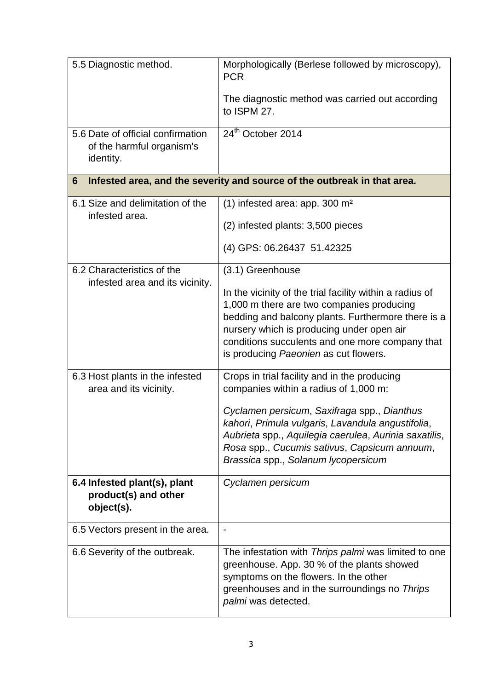| 5.5 Diagnostic method.                                                        | Morphologically (Berlese followed by microscopy),<br><b>PCR</b>                                                                                                                                                                                                                                      |  |
|-------------------------------------------------------------------------------|------------------------------------------------------------------------------------------------------------------------------------------------------------------------------------------------------------------------------------------------------------------------------------------------------|--|
|                                                                               | The diagnostic method was carried out according<br>to ISPM 27.                                                                                                                                                                                                                                       |  |
| 5.6 Date of official confirmation<br>of the harmful organism's<br>identity.   | 24 <sup>th</sup> October 2014                                                                                                                                                                                                                                                                        |  |
| Infested area, and the severity and source of the outbreak in that area.<br>6 |                                                                                                                                                                                                                                                                                                      |  |
| 6.1 Size and delimitation of the<br>infested area.                            | $(1)$ infested area: app. 300 m <sup>2</sup>                                                                                                                                                                                                                                                         |  |
|                                                                               | (2) infested plants: 3,500 pieces                                                                                                                                                                                                                                                                    |  |
|                                                                               | (4) GPS: 06.26437 51.42325                                                                                                                                                                                                                                                                           |  |
| 6.2 Characteristics of the                                                    | (3.1) Greenhouse                                                                                                                                                                                                                                                                                     |  |
| infested area and its vicinity.                                               | In the vicinity of the trial facility within a radius of<br>1,000 m there are two companies producing<br>bedding and balcony plants. Furthermore there is a<br>nursery which is producing under open air<br>conditions succulents and one more company that<br>is producing Paeonien as cut flowers. |  |
| 6.3 Host plants in the infested<br>area and its vicinity.                     | Crops in trial facility and in the producing<br>companies within a radius of 1,000 m:                                                                                                                                                                                                                |  |
|                                                                               | Cyclamen persicum, Saxifraga spp., Dianthus<br>kahori, Primula vulgaris, Lavandula angustifolia,<br>Aubrieta spp., Aquilegia caerulea, Aurinia saxatilis,<br>Rosa spp., Cucumis sativus, Capsicum annuum,<br>Brassica spp., Solanum lycopersicum                                                     |  |
| 6.4 Infested plant(s), plant<br>product(s) and other<br>object(s).            | Cyclamen persicum                                                                                                                                                                                                                                                                                    |  |
| 6.5 Vectors present in the area.                                              | $\blacksquare$                                                                                                                                                                                                                                                                                       |  |
| 6.6 Severity of the outbreak.                                                 | The infestation with Thrips palmi was limited to one<br>greenhouse. App. 30 % of the plants showed<br>symptoms on the flowers. In the other<br>greenhouses and in the surroundings no Thrips<br>palmi was detected.                                                                                  |  |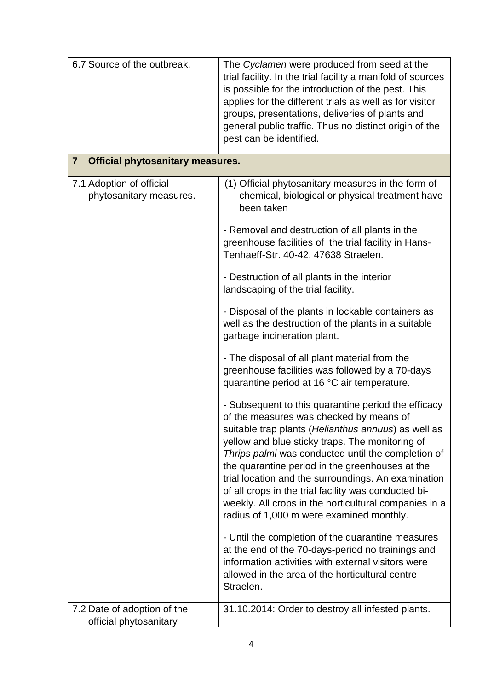| 6.7 Source of the outbreak.                               | The Cyclamen were produced from seed at the<br>trial facility. In the trial facility a manifold of sources<br>is possible for the introduction of the pest. This<br>applies for the different trials as well as for visitor<br>groups, presentations, deliveries of plants and<br>general public traffic. Thus no distinct origin of the<br>pest can be identified.                                                                                                                                                                   |  |
|-----------------------------------------------------------|---------------------------------------------------------------------------------------------------------------------------------------------------------------------------------------------------------------------------------------------------------------------------------------------------------------------------------------------------------------------------------------------------------------------------------------------------------------------------------------------------------------------------------------|--|
| <b>Official phytosanitary measures.</b><br>$\overline{7}$ |                                                                                                                                                                                                                                                                                                                                                                                                                                                                                                                                       |  |
| 7.1 Adoption of official<br>phytosanitary measures.       | (1) Official phytosanitary measures in the form of<br>chemical, biological or physical treatment have<br>been taken                                                                                                                                                                                                                                                                                                                                                                                                                   |  |
|                                                           | - Removal and destruction of all plants in the<br>greenhouse facilities of the trial facility in Hans-<br>Tenhaeff-Str. 40-42, 47638 Straelen.                                                                                                                                                                                                                                                                                                                                                                                        |  |
|                                                           | - Destruction of all plants in the interior<br>landscaping of the trial facility.                                                                                                                                                                                                                                                                                                                                                                                                                                                     |  |
|                                                           | - Disposal of the plants in lockable containers as<br>well as the destruction of the plants in a suitable<br>garbage incineration plant.                                                                                                                                                                                                                                                                                                                                                                                              |  |
|                                                           | - The disposal of all plant material from the<br>greenhouse facilities was followed by a 70-days<br>quarantine period at 16 °C air temperature.                                                                                                                                                                                                                                                                                                                                                                                       |  |
|                                                           | - Subsequent to this quarantine period the efficacy<br>of the measures was checked by means of<br>suitable trap plants (Helianthus annuus) as well as<br>yellow and blue sticky traps. The monitoring of<br>Thrips palmi was conducted until the completion of<br>the quarantine period in the greenhouses at the<br>trial location and the surroundings. An examination<br>of all crops in the trial facility was conducted bi-<br>weekly. All crops in the horticultural companies in a<br>radius of 1,000 m were examined monthly. |  |
|                                                           | - Until the completion of the quarantine measures<br>at the end of the 70-days-period no trainings and<br>information activities with external visitors were<br>allowed in the area of the horticultural centre<br>Straelen.                                                                                                                                                                                                                                                                                                          |  |
| 7.2 Date of adoption of the<br>official phytosanitary     | 31.10.2014: Order to destroy all infested plants.                                                                                                                                                                                                                                                                                                                                                                                                                                                                                     |  |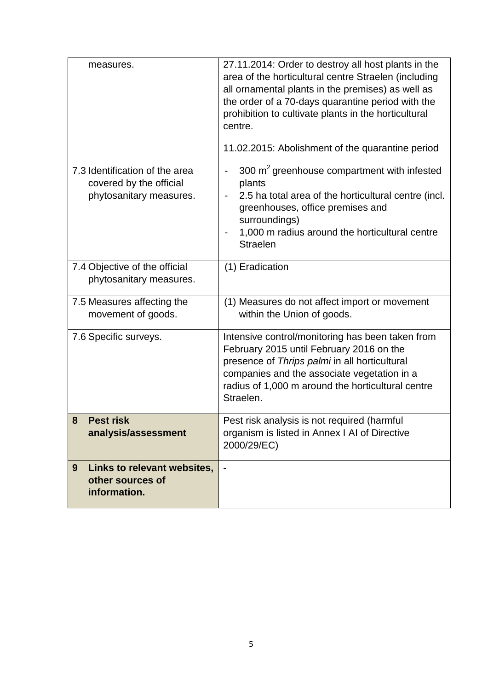| measures.                                                                            | 27.11.2014: Order to destroy all host plants in the<br>area of the horticultural centre Straelen (including<br>all ornamental plants in the premises) as well as<br>the order of a 70-days quarantine period with the<br>prohibition to cultivate plants in the horticultural<br>centre.<br>11.02.2015: Abolishment of the quarantine period |
|--------------------------------------------------------------------------------------|----------------------------------------------------------------------------------------------------------------------------------------------------------------------------------------------------------------------------------------------------------------------------------------------------------------------------------------------|
|                                                                                      |                                                                                                                                                                                                                                                                                                                                              |
| 7.3 Identification of the area<br>covered by the official<br>phytosanitary measures. | 300 m <sup>2</sup> greenhouse compartment with infested<br>plants<br>2.5 ha total area of the horticultural centre (incl.<br>$\overline{\phantom{a}}$<br>greenhouses, office premises and<br>surroundings)<br>1,000 m radius around the horticultural centre<br><b>Straelen</b>                                                              |
| 7.4 Objective of the official<br>phytosanitary measures.                             | (1) Eradication                                                                                                                                                                                                                                                                                                                              |
| 7.5 Measures affecting the<br>movement of goods.                                     | (1) Measures do not affect import or movement<br>within the Union of goods.                                                                                                                                                                                                                                                                  |
| 7.6 Specific surveys.                                                                | Intensive control/monitoring has been taken from<br>February 2015 until February 2016 on the<br>presence of Thrips palmi in all horticultural<br>companies and the associate vegetation in a<br>radius of 1,000 m around the horticultural centre<br>Straelen.                                                                               |
| 8<br><b>Pest risk</b><br>analysis/assessment                                         | Pest risk analysis is not required (harmful<br>organism is listed in Annex I AI of Directive<br>2000/29/EC)                                                                                                                                                                                                                                  |
| Links to relevant websites,<br>9<br>other sources of<br>information.                 |                                                                                                                                                                                                                                                                                                                                              |